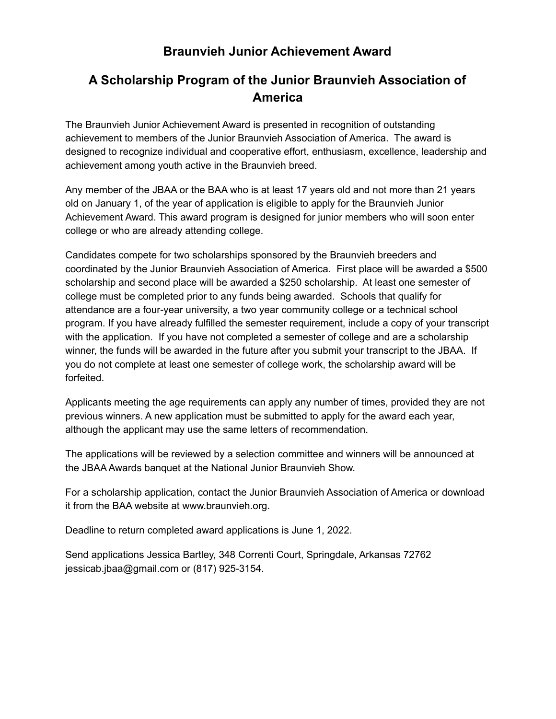### **Braunvieh Junior Achievement Award**

## **A Scholarship Program of the Junior Braunvieh Association of America**

The Braunvieh Junior Achievement Award is presented in recognition of outstanding achievement to members of the Junior Braunvieh Association of America. The award is designed to recognize individual and cooperative effort, enthusiasm, excellence, leadership and achievement among youth active in the Braunvieh breed.

Any member of the JBAA or the BAA who is at least 17 years old and not more than 21 years old on January 1, of the year of application is eligible to apply for the Braunvieh Junior Achievement Award. This award program is designed for junior members who will soon enter college or who are already attending college.

Candidates compete for two scholarships sponsored by the Braunvieh breeders and coordinated by the Junior Braunvieh Association of America. First place will be awarded a \$500 scholarship and second place will be awarded a \$250 scholarship. At least one semester of college must be completed prior to any funds being awarded. Schools that qualify for attendance are a four-year university, a two year community college or a technical school program. If you have already fulfilled the semester requirement, include a copy of your transcript with the application. If you have not completed a semester of college and are a scholarship winner, the funds will be awarded in the future after you submit your transcript to the JBAA. If you do not complete at least one semester of college work, the scholarship award will be forfeited.

Applicants meeting the age requirements can apply any number of times, provided they are not previous winners. A new application must be submitted to apply for the award each year, although the applicant may use the same letters of recommendation.

The applications will be reviewed by a selection committee and winners will be announced at the JBAA Awards banquet at the National Junior Braunvieh Show.

For a scholarship application, contact the Junior Braunvieh Association of America or download it from the BAA website at www.braunvieh.org.

Deadline to return completed award applications is June 1, 2022.

Send applications Jessica Bartley, 348 Correnti Court, Springdale, Arkansas 72762 jessicab.jbaa@gmail.com or (817) 925-3154.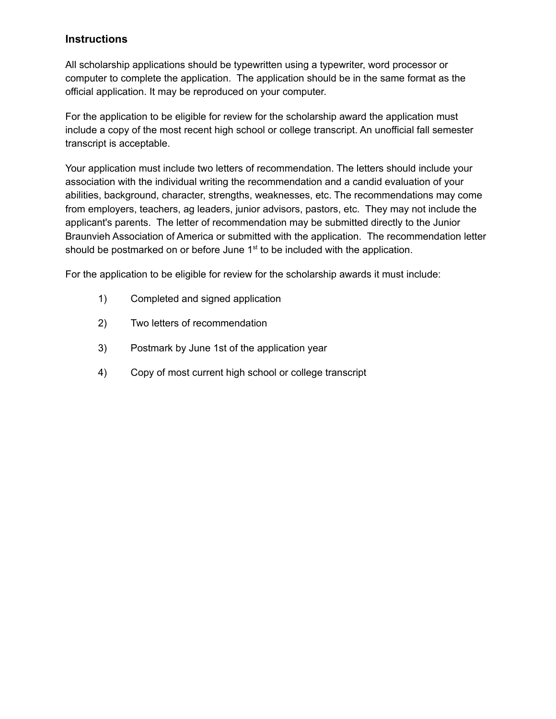### **Instructions**

All scholarship applications should be typewritten using a typewriter, word processor or computer to complete the application. The application should be in the same format as the official application. It may be reproduced on your computer.

For the application to be eligible for review for the scholarship award the application must include a copy of the most recent high school or college transcript. An unofficial fall semester transcript is acceptable.

Your application must include two letters of recommendation. The letters should include your association with the individual writing the recommendation and a candid evaluation of your abilities, background, character, strengths, weaknesses, etc. The recommendations may come from employers, teachers, ag leaders, junior advisors, pastors, etc. They may not include the applicant's parents. The letter of recommendation may be submitted directly to the Junior Braunvieh Association of America or submitted with the application. The recommendation letter should be postmarked on or before June 1<sup>st</sup> to be included with the application.

For the application to be eligible for review for the scholarship awards it must include:

- 1) Completed and signed application
- 2) Two letters of recommendation
- 3) Postmark by June 1st of the application year
- 4) Copy of most current high school or college transcript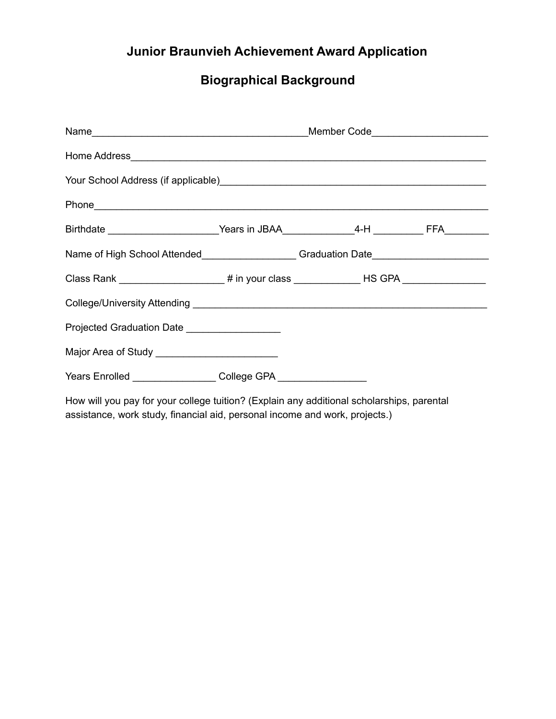# **Junior Braunvieh Achievement Award Application**

## **Biographical Background**

| Your School Address (if applicable) Manual Address (if applicable)                                 |  |  |
|----------------------------------------------------------------------------------------------------|--|--|
|                                                                                                    |  |  |
| Birthdate ____________________________Years in JBAA________________4-H ___________ FFA____________ |  |  |
| Name of High School Attended___________________Graduation Date__________________                   |  |  |
| Class Rank ______________________# in your class ______________HS GPA ___________                  |  |  |
|                                                                                                    |  |  |
| Projected Graduation Date ___________________                                                      |  |  |
| Major Area of Study _________________________                                                      |  |  |
| Years Enrolled __________________College GPA ___________________                                   |  |  |
|                                                                                                    |  |  |

How will you pay for your college tuition? (Explain any additional scholarships, parental assistance, work study, financial aid, personal income and work, projects.)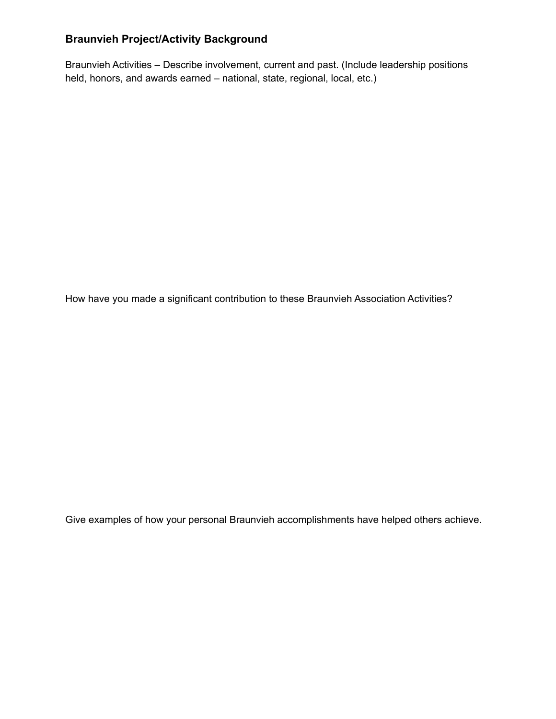### **Braunvieh Project/Activity Background**

Braunvieh Activities – Describe involvement, current and past. (Include leadership positions held, honors, and awards earned – national, state, regional, local, etc.)

How have you made a significant contribution to these Braunvieh Association Activities?

Give examples of how your personal Braunvieh accomplishments have helped others achieve.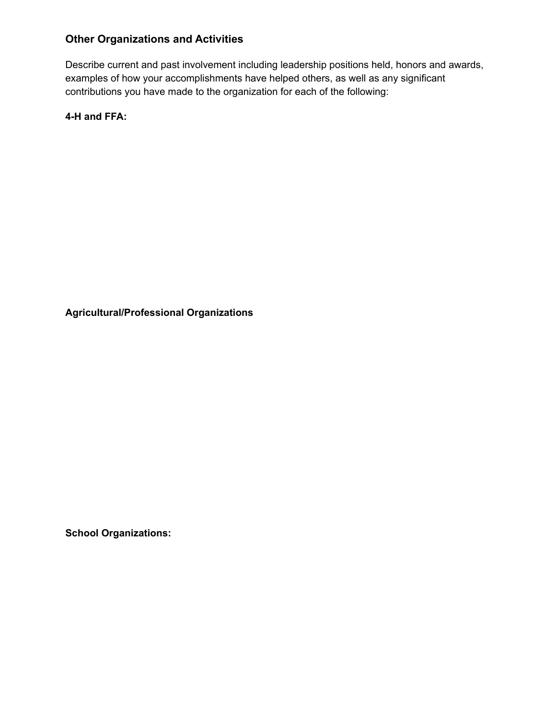### **Other Organizations and Activities**

Describe current and past involvement including leadership positions held, honors and awards, examples of how your accomplishments have helped others, as well as any significant contributions you have made to the organization for each of the following:

**4-H and FFA:**

**Agricultural/Professional Organizations**

**School Organizations:**